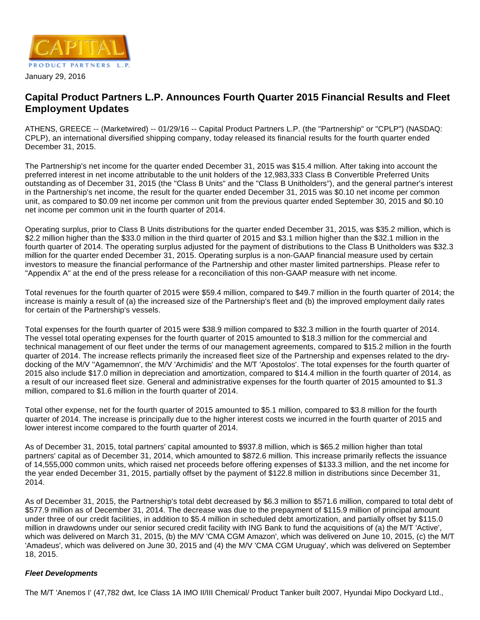

# **Capital Product Partners L.P. Announces Fourth Quarter 2015 Financial Results and Fleet Employment Updates**

ATHENS, GREECE -- (Marketwired) -- 01/29/16 -- Capital Product Partners L.P. (the "Partnership" or "CPLP") (NASDAQ: CPLP), an international diversified shipping company, today released its financial results for the fourth quarter ended December 31, 2015.

The Partnership's net income for the quarter ended December 31, 2015 was \$15.4 million. After taking into account the preferred interest in net income attributable to the unit holders of the 12,983,333 Class B Convertible Preferred Units outstanding as of December 31, 2015 (the "Class B Units" and the "Class B Unitholders"), and the general partner's interest in the Partnership's net income, the result for the quarter ended December 31, 2015 was \$0.10 net income per common unit, as compared to \$0.09 net income per common unit from the previous quarter ended September 30, 2015 and \$0.10 net income per common unit in the fourth quarter of 2014.

Operating surplus, prior to Class B Units distributions for the quarter ended December 31, 2015, was \$35.2 million, which is \$2.2 million higher than the \$33.0 million in the third quarter of 2015 and \$3.1 million higher than the \$32.1 million in the fourth quarter of 2014. The operating surplus adjusted for the payment of distributions to the Class B Unitholders was \$32.3 million for the quarter ended December 31, 2015. Operating surplus is a non-GAAP financial measure used by certain investors to measure the financial performance of the Partnership and other master limited partnerships. Please refer to "Appendix A" at the end of the press release for a reconciliation of this non-GAAP measure with net income.

Total revenues for the fourth quarter of 2015 were \$59.4 million, compared to \$49.7 million in the fourth quarter of 2014; the increase is mainly a result of (a) the increased size of the Partnership's fleet and (b) the improved employment daily rates for certain of the Partnership's vessels.

Total expenses for the fourth quarter of 2015 were \$38.9 million compared to \$32.3 million in the fourth quarter of 2014. The vessel total operating expenses for the fourth quarter of 2015 amounted to \$18.3 million for the commercial and technical management of our fleet under the terms of our management agreements, compared to \$15.2 million in the fourth quarter of 2014. The increase reflects primarily the increased fleet size of the Partnership and expenses related to the drydocking of the M/V ''Agamemnon', the M/V 'Archimidis' and the M/T 'Apostolos'. The total expenses for the fourth quarter of 2015 also include \$17.0 million in depreciation and amortization, compared to \$14.4 million in the fourth quarter of 2014, as a result of our increased fleet size. General and administrative expenses for the fourth quarter of 2015 amounted to \$1.3 million, compared to \$1.6 million in the fourth quarter of 2014.

Total other expense, net for the fourth quarter of 2015 amounted to \$5.1 million, compared to \$3.8 million for the fourth quarter of 2014. The increase is principally due to the higher interest costs we incurred in the fourth quarter of 2015 and lower interest income compared to the fourth quarter of 2014.

As of December 31, 2015, total partners' capital amounted to \$937.8 million, which is \$65.2 million higher than total partners' capital as of December 31, 2014, which amounted to \$872.6 million. This increase primarily reflects the issuance of 14,555,000 common units, which raised net proceeds before offering expenses of \$133.3 million, and the net income for the year ended December 31, 2015, partially offset by the payment of \$122.8 million in distributions since December 31, 2014.

As of December 31, 2015, the Partnership's total debt decreased by \$6.3 million to \$571.6 million, compared to total debt of \$577.9 million as of December 31, 2014. The decrease was due to the prepayment of \$115.9 million of principal amount under three of our credit facilities, in addition to \$5.4 million in scheduled debt amortization, and partially offset by \$115.0 million in drawdowns under our senior secured credit facility with ING Bank to fund the acquisitions of (a) the M/T 'Active', which was delivered on March 31, 2015, (b) the M/V 'CMA CGM Amazon', which was delivered on June 10, 2015, (c) the M/T 'Amadeus', which was delivered on June 30, 2015 and (4) the M/V 'CMA CGM Uruguay', which was delivered on September 18, 2015.

# **Fleet Developments**

The M/T 'Anemos I' (47,782 dwt, Ice Class 1A IMO II/III Chemical/ Product Tanker built 2007, Hyundai Mipo Dockyard Ltd.,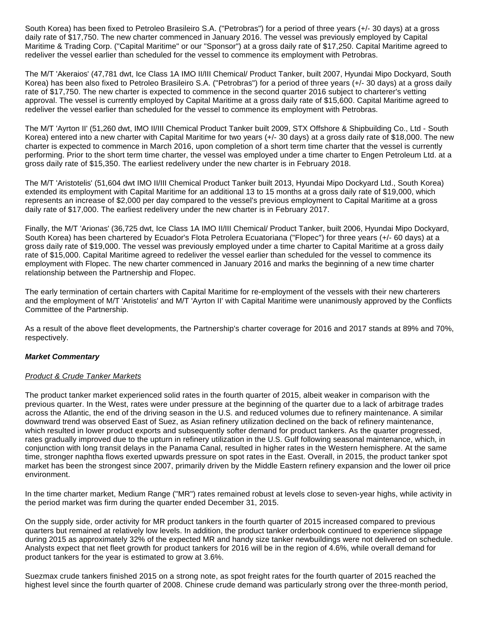South Korea) has been fixed to Petroleo Brasileiro S.A. ("Petrobras") for a period of three years (+/- 30 days) at a gross daily rate of \$17,750. The new charter commenced in January 2016. The vessel was previously employed by Capital Maritime & Trading Corp. ("Capital Maritime" or our "Sponsor") at a gross daily rate of \$17,250. Capital Maritime agreed to redeliver the vessel earlier than scheduled for the vessel to commence its employment with Petrobras.

The M/T 'Akeraios' (47,781 dwt, Ice Class 1A IMO II/III Chemical/ Product Tanker, built 2007, Hyundai Mipo Dockyard, South Korea) has been also fixed to Petroleo Brasileiro S.A. ("Petrobras") for a period of three years (+/- 30 days) at a gross daily rate of \$17,750. The new charter is expected to commence in the second quarter 2016 subject to charterer's vetting approval. The vessel is currently employed by Capital Maritime at a gross daily rate of \$15,600. Capital Maritime agreed to redeliver the vessel earlier than scheduled for the vessel to commence its employment with Petrobras.

The M/T 'Ayrton II' (51,260 dwt, IMO II/III Chemical Product Tanker built 2009, STX Offshore & Shipbuilding Co., Ltd - South Korea) entered into a new charter with Capital Maritime for two years (+/- 30 days) at a gross daily rate of \$18,000. The new charter is expected to commence in March 2016, upon completion of a short term time charter that the vessel is currently performing. Prior to the short term time charter, the vessel was employed under a time charter to Engen Petroleum Ltd. at a gross daily rate of \$15,350. The earliest redelivery under the new charter is in February 2018.

The M/T 'Aristotelis' (51,604 dwt IMO II/III Chemical Product Tanker built 2013, Hyundai Mipo Dockyard Ltd., South Korea) extended its employment with Capital Maritime for an additional 13 to 15 months at a gross daily rate of \$19,000, which represents an increase of \$2,000 per day compared to the vessel's previous employment to Capital Maritime at a gross daily rate of \$17,000. The earliest redelivery under the new charter is in February 2017.

Finally, the M/T 'Arionas' (36,725 dwt, Ice Class 1A IMO II/III Chemical/ Product Tanker, built 2006, Hyundai Mipo Dockyard, South Korea) has been chartered by Ecuador's Flota Petrolera Ecuatoriana ("Flopec") for three years (+/- 60 days) at a gross daily rate of \$19,000. The vessel was previously employed under a time charter to Capital Maritime at a gross daily rate of \$15,000. Capital Maritime agreed to redeliver the vessel earlier than scheduled for the vessel to commence its employment with Flopec. The new charter commenced in January 2016 and marks the beginning of a new time charter relationship between the Partnership and Flopec.

The early termination of certain charters with Capital Maritime for re-employment of the vessels with their new charterers and the employment of M/T 'Aristotelis' and M/T 'Ayrton II' with Capital Maritime were unanimously approved by the Conflicts Committee of the Partnership.

As a result of the above fleet developments, the Partnership's charter coverage for 2016 and 2017 stands at 89% and 70%, respectively.

#### **Market Commentary**

#### Product & Crude Tanker Markets

The product tanker market experienced solid rates in the fourth quarter of 2015, albeit weaker in comparison with the previous quarter. In the West, rates were under pressure at the beginning of the quarter due to a lack of arbitrage trades across the Atlantic, the end of the driving season in the U.S. and reduced volumes due to refinery maintenance. A similar downward trend was observed East of Suez, as Asian refinery utilization declined on the back of refinery maintenance, which resulted in lower product exports and subsequently softer demand for product tankers. As the quarter progressed, rates gradually improved due to the upturn in refinery utilization in the U.S. Gulf following seasonal maintenance, which, in conjunction with long transit delays in the Panama Canal, resulted in higher rates in the Western hemisphere. At the same time, stronger naphtha flows exerted upwards pressure on spot rates in the East. Overall, in 2015, the product tanker spot market has been the strongest since 2007, primarily driven by the Middle Eastern refinery expansion and the lower oil price environment.

In the time charter market, Medium Range ("MR") rates remained robust at levels close to seven-year highs, while activity in the period market was firm during the quarter ended December 31, 2015.

On the supply side, order activity for MR product tankers in the fourth quarter of 2015 increased compared to previous quarters but remained at relatively low levels. In addition, the product tanker orderbook continued to experience slippage during 2015 as approximately 32% of the expected MR and handy size tanker newbuildings were not delivered on schedule. Analysts expect that net fleet growth for product tankers for 2016 will be in the region of 4.6%, while overall demand for product tankers for the year is estimated to grow at 3.6%.

Suezmax crude tankers finished 2015 on a strong note, as spot freight rates for the fourth quarter of 2015 reached the highest level since the fourth quarter of 2008. Chinese crude demand was particularly strong over the three-month period,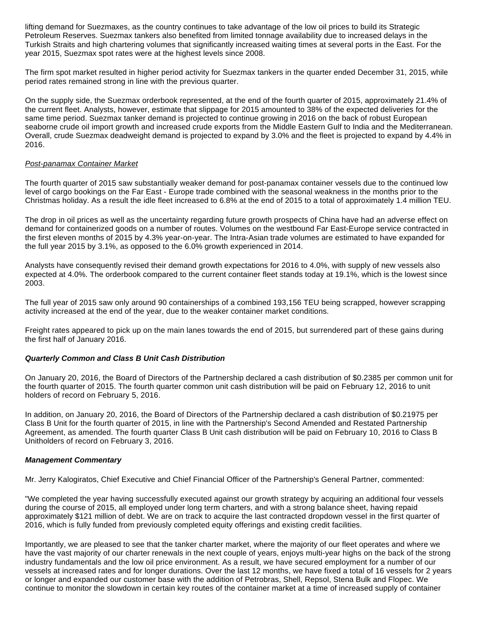lifting demand for Suezmaxes, as the country continues to take advantage of the low oil prices to build its Strategic Petroleum Reserves. Suezmax tankers also benefited from limited tonnage availability due to increased delays in the Turkish Straits and high chartering volumes that significantly increased waiting times at several ports in the East. For the year 2015, Suezmax spot rates were at the highest levels since 2008.

The firm spot market resulted in higher period activity for Suezmax tankers in the quarter ended December 31, 2015, while period rates remained strong in line with the previous quarter.

On the supply side, the Suezmax orderbook represented, at the end of the fourth quarter of 2015, approximately 21.4% of the current fleet. Analysts, however, estimate that slippage for 2015 amounted to 38% of the expected deliveries for the same time period. Suezmax tanker demand is projected to continue growing in 2016 on the back of robust European seaborne crude oil import growth and increased crude exports from the Middle Eastern Gulf to India and the Mediterranean. Overall, crude Suezmax deadweight demand is projected to expand by 3.0% and the fleet is projected to expand by 4.4% in 2016.

#### Post-panamax Container Market

The fourth quarter of 2015 saw substantially weaker demand for post-panamax container vessels due to the continued low level of cargo bookings on the Far East - Europe trade combined with the seasonal weakness in the months prior to the Christmas holiday. As a result the idle fleet increased to 6.8% at the end of 2015 to a total of approximately 1.4 million TEU.

The drop in oil prices as well as the uncertainty regarding future growth prospects of China have had an adverse effect on demand for containerized goods on a number of routes. Volumes on the westbound Far East-Europe service contracted in the first eleven months of 2015 by 4.3% year-on-year. The Intra-Asian trade volumes are estimated to have expanded for the full year 2015 by 3.1%, as opposed to the 6.0% growth experienced in 2014.

Analysts have consequently revised their demand growth expectations for 2016 to 4.0%, with supply of new vessels also expected at 4.0%. The orderbook compared to the current container fleet stands today at 19.1%, which is the lowest since 2003.

The full year of 2015 saw only around 90 containerships of a combined 193,156 TEU being scrapped, however scrapping activity increased at the end of the year, due to the weaker container market conditions.

Freight rates appeared to pick up on the main lanes towards the end of 2015, but surrendered part of these gains during the first half of January 2016.

#### **Quarterly Common and Class B Unit Cash Distribution**

On January 20, 2016, the Board of Directors of the Partnership declared a cash distribution of \$0.2385 per common unit for the fourth quarter of 2015. The fourth quarter common unit cash distribution will be paid on February 12, 2016 to unit holders of record on February 5, 2016.

In addition, on January 20, 2016, the Board of Directors of the Partnership declared a cash distribution of \$0.21975 per Class B Unit for the fourth quarter of 2015, in line with the Partnership's Second Amended and Restated Partnership Agreement, as amended. The fourth quarter Class B Unit cash distribution will be paid on February 10, 2016 to Class B Unitholders of record on February 3, 2016.

#### **Management Commentary**

Mr. Jerry Kalogiratos, Chief Executive and Chief Financial Officer of the Partnership's General Partner, commented:

"We completed the year having successfully executed against our growth strategy by acquiring an additional four vessels during the course of 2015, all employed under long term charters, and with a strong balance sheet, having repaid approximately \$121 million of debt. We are on track to acquire the last contracted dropdown vessel in the first quarter of 2016, which is fully funded from previously completed equity offerings and existing credit facilities.

Importantly, we are pleased to see that the tanker charter market, where the majority of our fleet operates and where we have the vast majority of our charter renewals in the next couple of years, enjoys multi-year highs on the back of the strong industry fundamentals and the low oil price environment. As a result, we have secured employment for a number of our vessels at increased rates and for longer durations. Over the last 12 months, we have fixed a total of 16 vessels for 2 years or longer and expanded our customer base with the addition of Petrobras, Shell, Repsol, Stena Bulk and Flopec. We continue to monitor the slowdown in certain key routes of the container market at a time of increased supply of container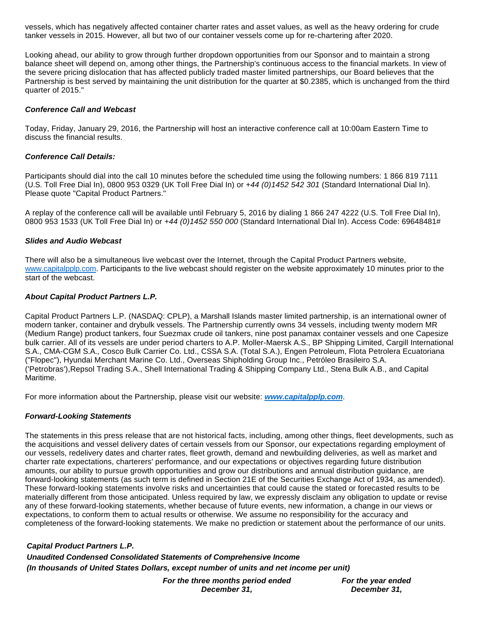vessels, which has negatively affected container charter rates and asset values, as well as the heavy ordering for crude tanker vessels in 2015. However, all but two of our container vessels come up for re-chartering after 2020.

Looking ahead, our ability to grow through further dropdown opportunities from our Sponsor and to maintain a strong balance sheet will depend on, among other things, the Partnership's continuous access to the financial markets. In view of the severe pricing dislocation that has affected publicly traded master limited partnerships, our Board believes that the Partnership is best served by maintaining the unit distribution for the quarter at \$0.2385, which is unchanged from the third quarter of 2015."

### **Conference Call and Webcast**

Today, Friday, January 29, 2016, the Partnership will host an interactive conference call at 10:00am Eastern Time to discuss the financial results.

### **Conference Call Details:**

Participants should dial into the call 10 minutes before the scheduled time using the following numbers: 1 866 819 7111 (U.S. Toll Free Dial In), 0800 953 0329 (UK Toll Free Dial In) or +44 (0)1452 542 301 (Standard International Dial In). Please quote "Capital Product Partners."

A replay of the conference call will be available until February 5, 2016 by dialing 1 866 247 4222 (U.S. Toll Free Dial In), 0800 953 1533 (UK Toll Free Dial In) or +44 (0)1452 550 000 (Standard International Dial In). Access Code: 69648481#

### **Slides and Audio Webcast**

There will also be a simultaneous live webcast over the Internet, through the Capital Product Partners website, [www.capitalpplp.com.](http://www.capitalpplp.com/) Participants to the live webcast should register on the website approximately 10 minutes prior to the start of the webcast.

### **About Capital Product Partners L.P.**

Capital Product Partners L.P. (NASDAQ: CPLP), a Marshall Islands master limited partnership, is an international owner of modern tanker, container and drybulk vessels. The Partnership currently owns 34 vessels, including twenty modern MR (Medium Range) product tankers, four Suezmax crude oil tankers, nine post panamax container vessels and one Capesize bulk carrier. All of its vessels are under period charters to A.P. Moller-Maersk A.S., BP Shipping Limited, Cargill International S.A., CMA-CGM S.A., Cosco Bulk Carrier Co. Ltd., CSSA S.A. (Total S.A.), Engen Petroleum, Flota Petrolera Ecuatoriana ("Flopec"), Hyundai Merchant Marine Co. Ltd., Overseas Shipholding Group Inc., Petróleo Brasileiro S.A. ('Petrobras'),Repsol Trading S.A., Shell International Trading & Shipping Company Ltd., Stena Bulk A.B., and Capital Maritime.

For more information about the Partnership, please visit our website: **[www.capitalpplp.com](http://www.capitalpplp.com/)**.

# **Forward-Looking Statements**

The statements in this press release that are not historical facts, including, among other things, fleet developments, such as the acquisitions and vessel delivery dates of certain vessels from our Sponsor, our expectations regarding employment of our vessels, redelivery dates and charter rates, fleet growth, demand and newbuilding deliveries, as well as market and charter rate expectations, charterers' performance, and our expectations or objectives regarding future distribution amounts, our ability to pursue growth opportunities and grow our distributions and annual distribution guidance, are forward-looking statements (as such term is defined in Section 21E of the Securities Exchange Act of 1934, as amended). These forward-looking statements involve risks and uncertainties that could cause the stated or forecasted results to be materially different from those anticipated. Unless required by law, we expressly disclaim any obligation to update or revise any of these forward-looking statements, whether because of future events, new information, a change in our views or expectations, to conform them to actual results or otherwise. We assume no responsibility for the accuracy and completeness of the forward-looking statements. We make no prediction or statement about the performance of our units.

**Capital Product Partners L.P. Unaudited Condensed Consolidated Statements of Comprehensive Income (In thousands of United States Dollars, except number of units and net income per unit)**

> **For the three months period ended December 31,**

**For the year ended December 31,**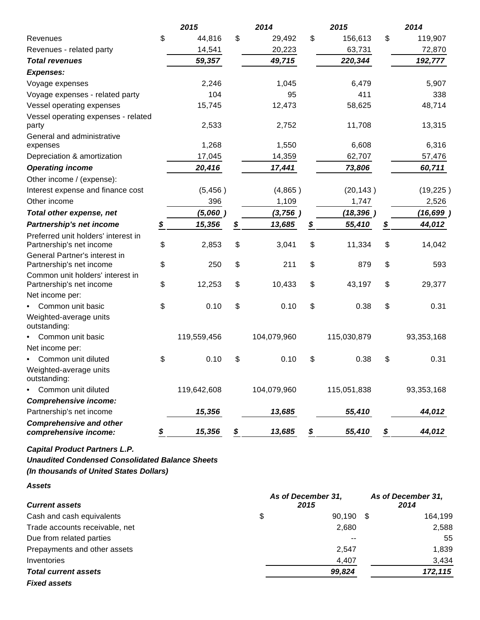|                                                                 | 2015         | 2014         |                         | 2015        | 2014          |
|-----------------------------------------------------------------|--------------|--------------|-------------------------|-------------|---------------|
| Revenues                                                        | \$<br>44,816 | \$<br>29,492 | \$                      | 156,613     | \$<br>119,907 |
| Revenues - related party                                        | 14,541       | 20,223       |                         | 63,731      | 72,870        |
| <b>Total revenues</b>                                           | 59,357       | 49,715       |                         | 220,344     | 192,777       |
| <b>Expenses:</b>                                                |              |              |                         |             |               |
| Voyage expenses                                                 | 2,246        | 1,045        |                         | 6,479       | 5,907         |
| Voyage expenses - related party                                 | 104          | 95           |                         | 411         | 338           |
| Vessel operating expenses                                       | 15,745       | 12,473       |                         | 58,625      | 48,714        |
| Vessel operating expenses - related<br>party                    | 2,533        | 2,752        |                         | 11,708      | 13,315        |
| General and administrative<br>expenses                          | 1,268        | 1,550        |                         | 6,608       | 6,316         |
| Depreciation & amortization                                     | 17,045       | 14,359       |                         | 62,707      | 57,476        |
| <b>Operating income</b>                                         | 20,416       | 17,441       |                         | 73,806      | 60,711        |
| Other income / (expense):                                       |              |              |                         |             |               |
| Interest expense and finance cost                               | (5, 456)     | (4,865)      |                         | (20, 143)   | (19, 225)     |
| Other income                                                    | 396          | 1,109        |                         | 1,747       | 2,526         |
| <b>Total other expense, net</b>                                 | (5,060)      | (3,756)      |                         | (18, 396)   | (16, 699)     |
| Partnership's net income                                        | \$<br>15,356 | \$<br>13,685 | \$                      | 55,410      | \$<br>44,012  |
| Preferred unit holders' interest in<br>Partnership's net income | \$<br>2,853  | \$<br>3,041  | \$                      | 11,334      | \$<br>14,042  |
| General Partner's interest in<br>Partnership's net income       | \$<br>250    | \$<br>211    | \$                      | 879         | \$<br>593     |
| Common unit holders' interest in<br>Partnership's net income    | \$<br>12,253 | \$<br>10,433 | \$                      | 43,197      | \$<br>29,377  |
| Net income per:                                                 |              |              |                         |             |               |
| Common unit basic<br>٠                                          | \$<br>0.10   | \$<br>0.10   | \$                      | 0.38        | \$<br>0.31    |
| Weighted-average units<br>outstanding:                          |              |              |                         |             |               |
| Common unit basic                                               | 119,559,456  | 104,079,960  |                         | 115,030,879 | 93,353,168    |
| Net income per:                                                 |              |              |                         |             |               |
| Common unit diluted                                             | \$<br>0.10   | \$<br>0.10   | \$                      | 0.38        | \$<br>0.31    |
| Weighted-average units<br>outstanding:                          |              |              |                         |             |               |
| Common unit diluted                                             | 119,642,608  | 104,079,960  |                         | 115,051,838 | 93,353,168    |
| <b>Comprehensive income:</b>                                    |              |              |                         |             |               |
| Partnership's net income                                        | 15,356       | 13,685       |                         | 55,410      | 44,012        |
| <b>Comprehensive and other</b><br>comprehensive income:         | \$<br>15,356 | \$<br>13,685 | $\frac{\mathcal{L}}{2}$ | 55,410      | \$<br>44,012  |

**Capital Product Partners L.P.**

**Unaudited Condensed Consolidated Balance Sheets**

**(In thousands of United States Dollars)**

**Assets**

| <b>Current assets</b>          | As of December 31,<br>2015 | As of December 31,<br>2014 |      |         |
|--------------------------------|----------------------------|----------------------------|------|---------|
| Cash and cash equivalents      | \$                         | 90,190                     | - \$ | 164,199 |
| Trade accounts receivable, net |                            | 2,680                      |      | 2,588   |
| Due from related parties       |                            | --                         |      | 55      |
| Prepayments and other assets   |                            | 2.547                      |      | 1,839   |
| Inventories                    |                            | 4,407                      |      | 3,434   |
| <b>Total current assets</b>    |                            | 99,824                     |      | 172,115 |
| <b>Fixed assets</b>            |                            |                            |      |         |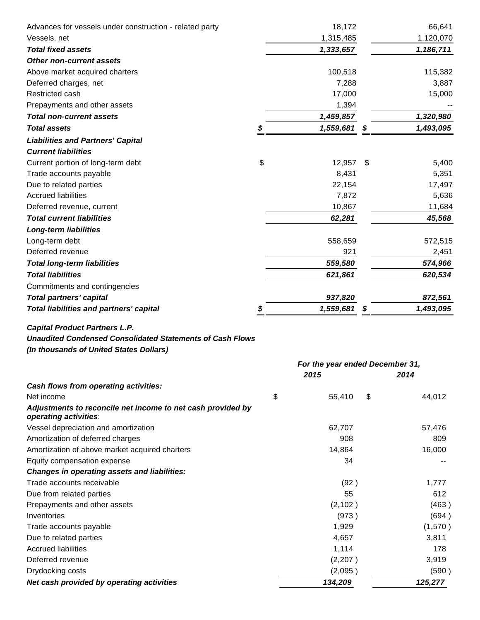| Advances for vessels under construction - related party          | 18,172                          |      | 66,641    |  |
|------------------------------------------------------------------|---------------------------------|------|-----------|--|
| Vessels, net                                                     | 1,315,485                       |      | 1,120,070 |  |
| <b>Total fixed assets</b>                                        | 1,333,657                       |      | 1,186,711 |  |
| <b>Other non-current assets</b>                                  |                                 |      |           |  |
| Above market acquired charters                                   | 100,518                         |      | 115,382   |  |
| Deferred charges, net                                            | 7,288                           |      | 3,887     |  |
| Restricted cash                                                  | 17,000                          |      | 15,000    |  |
| Prepayments and other assets                                     | 1,394                           |      |           |  |
| <b>Total non-current assets</b>                                  | 1,459,857                       |      | 1,320,980 |  |
| <b>Total assets</b>                                              | \$<br>1,559,681                 |      | 1,493,095 |  |
| <b>Liabilities and Partners' Capital</b>                         |                                 |      |           |  |
| <b>Current liabilities</b>                                       |                                 |      |           |  |
| Current portion of long-term debt                                | \$<br>12,957                    | \$   | 5,400     |  |
| Trade accounts payable                                           | 8,431                           |      | 5,351     |  |
| Due to related parties                                           | 22,154                          |      | 17,497    |  |
| <b>Accrued liabilities</b>                                       | 7,872                           |      | 5,636     |  |
| Deferred revenue, current                                        | 10,867                          |      | 11,684    |  |
| <b>Total current liabilities</b>                                 | 62,281                          |      | 45,568    |  |
| <b>Long-term liabilities</b>                                     |                                 |      |           |  |
| Long-term debt                                                   | 558,659                         |      | 572,515   |  |
| Deferred revenue                                                 | 921                             |      | 2,451     |  |
| <b>Total long-term liabilities</b>                               | 559,580                         |      | 574,966   |  |
| <b>Total liabilities</b>                                         | 621,861                         |      | 620,534   |  |
| Commitments and contingencies                                    |                                 |      |           |  |
| <b>Total partners' capital</b>                                   | 937,820                         |      | 872,561   |  |
| Total liabilities and partners' capital                          | 1,559,681                       |      | 1,493,095 |  |
|                                                                  |                                 |      |           |  |
| <b>Capital Product Partners L.P.</b>                             |                                 |      |           |  |
| <b>Unaudited Condensed Consolidated Statements of Cash Flows</b> |                                 |      |           |  |
| (In thousands of United States Dollars)                          |                                 |      |           |  |
|                                                                  | For the year ended December 31, |      |           |  |
|                                                                  | 2015                            | 2014 |           |  |
| Cash flows from operating activities:                            |                                 |      |           |  |
| Net income                                                       | \$<br>55,410                    | \$   | 44,012    |  |
| Adjustments to reconcile net income to net cash provided by      |                                 |      |           |  |
| operating activities:                                            |                                 |      |           |  |
| Vessel depreciation and amortization                             | 62,707                          |      | 57,476    |  |
| Amortization of deferred charges                                 | 908                             |      | 809       |  |
| Amortization of above market acquired charters                   | 14,864                          |      | 16,000    |  |
| Equity compensation expense                                      | 34                              |      |           |  |
| <b>Changes in operating assets and liabilities:</b>              |                                 |      |           |  |
| Trade accounts receivable                                        |                                 |      | 1,777     |  |
| Due from related parties                                         | (92)                            |      |           |  |
| Prepayments and other assets                                     | 55                              |      | 612       |  |
|                                                                  | (2, 102)                        |      | (463)     |  |
| Inventories                                                      | (973)                           |      | (694)     |  |
| Trade accounts payable                                           | 1,929                           |      | (1,570)   |  |
| Due to related parties                                           | 4,657                           |      | 3,811     |  |
| <b>Accrued liabilities</b>                                       | 1,114                           |      | 178       |  |
| Deferred revenue                                                 | (2,207)                         |      | 3,919     |  |
| Drydocking costs                                                 | (2,095)                         |      | (590)     |  |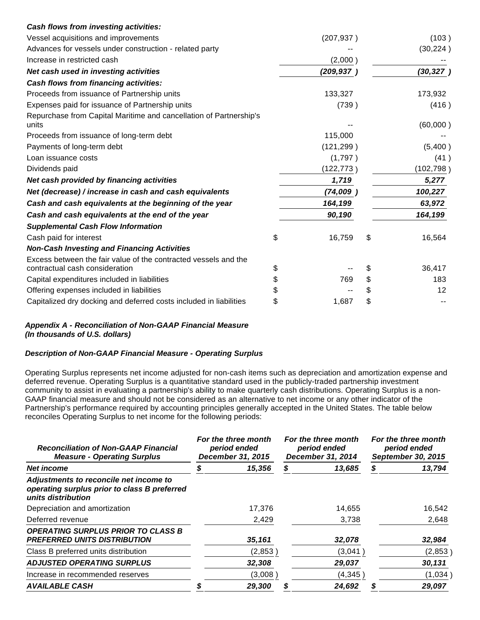|                                                                    | (207, 937) | (103)        |
|--------------------------------------------------------------------|------------|--------------|
|                                                                    |            | (30, 224)    |
|                                                                    | (2,000)    |              |
|                                                                    | (209, 937) | (30, 327)    |
|                                                                    |            |              |
|                                                                    | 133,327    | 173,932      |
|                                                                    | (739)      | (416)        |
|                                                                    |            | (60,000)     |
|                                                                    | 115,000    |              |
|                                                                    | (121, 299) | (5,400)      |
|                                                                    | (1,797)    | (41)         |
|                                                                    | (122, 773) | (102, 798)   |
|                                                                    | 1,719      | 5,277        |
|                                                                    | (74,009)   | 100,227      |
|                                                                    | 164,199    | 63,972       |
|                                                                    | 90,190     | 164,199      |
|                                                                    |            |              |
| \$                                                                 | 16,759     | \$<br>16,564 |
|                                                                    |            |              |
| \$                                                                 |            | \$<br>36,417 |
| \$                                                                 | 769        | \$<br>183    |
| \$                                                                 |            | \$<br>12     |
| \$                                                                 | 1,687      | \$           |
| Repurchase from Capital Maritime and cancellation of Partnership's |            |              |

# **Appendix A - Reconciliation of Non-GAAP Financial Measure (In thousands of U.S. dollars)**

# **Description of Non-GAAP Financial Measure - Operating Surplus**

Operating Surplus represents net income adjusted for non-cash items such as depreciation and amortization expense and deferred revenue. Operating Surplus is a quantitative standard used in the publicly-traded partnership investment community to assist in evaluating a partnership's ability to make quarterly cash distributions. Operating Surplus is a non-GAAP financial measure and should not be considered as an alternative to net income or any other indicator of the Partnership's performance required by accounting principles generally accepted in the United States. The table below reconciles Operating Surplus to net income for the following periods:

| <b>Reconciliation of Non-GAAP Financial</b><br><b>Measure - Operating Surplus</b>                            | For the three month<br>period ended<br>December 31, 2015 |   | For the three month<br>period ended<br>December 31, 2014 | For the three month<br>period ended<br>September 30, 2015 |         |
|--------------------------------------------------------------------------------------------------------------|----------------------------------------------------------|---|----------------------------------------------------------|-----------------------------------------------------------|---------|
| Net income                                                                                                   | 15,356                                                   | S | 13,685                                                   | S                                                         | 13,794  |
| Adjustments to reconcile net income to<br>operating surplus prior to class B preferred<br>units distribution |                                                          |   |                                                          |                                                           |         |
| Depreciation and amortization                                                                                | 17,376                                                   |   | 14,655                                                   |                                                           | 16,542  |
| Deferred revenue                                                                                             | 2,429                                                    |   | 3,738                                                    |                                                           | 2,648   |
| <b>OPERATING SURPLUS PRIOR TO CLASS B</b><br><b>PREFERRED UNITS DISTRIBUTION</b>                             | 35,161                                                   |   | 32,078                                                   |                                                           | 32,984  |
| Class B preferred units distribution                                                                         | (2,853)                                                  |   | (3,041)                                                  |                                                           | (2,853) |
| <b>ADJUSTED OPERATING SURPLUS</b>                                                                            | 32,308                                                   |   | 29,037                                                   |                                                           | 30,131  |
| Increase in recommended reserves                                                                             | (3,008)                                                  |   | (4, 345)                                                 |                                                           | (1,034) |
| <b>AVAILABLE CASH</b>                                                                                        | 29,300                                                   |   | 24,692                                                   |                                                           | 29,097  |